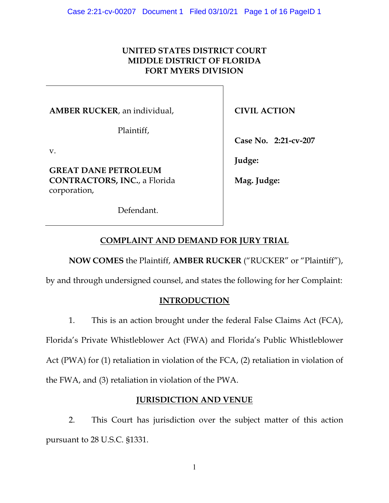## **UNITED STATES DISTRICT COURT MIDDLE DISTRICT OF FLORIDA FORT MYERS DIVISION**

**AMBER RUCKER**, an individual,

Plaintiff,

v.

**GREAT DANE PETROLEUM CONTRACTORS, INC.**, a Florida corporation,

Defendant.

**CIVIL ACTION**

**Case No. 2:21-cv-207**

**Judge:** 

**Mag. Judge:**

## **COMPLAINT AND DEMAND FOR JURY TRIAL**

**NOW COMES** the Plaintiff, **AMBER RUCKER** ("RUCKER" or "Plaintiff"),

by and through undersigned counsel, and states the following for her Complaint:

## **INTRODUCTION**

1. This is an action brought under the federal False Claims Act (FCA),

Florida's Private Whistleblower Act (FWA) and Florida's Public Whistleblower

Act (PWA) for (1) retaliation in violation of the FCA, (2) retaliation in violation of

the FWA, and (3) retaliation in violation of the PWA.

## **JURISDICTION AND VENUE**

2. This Court has jurisdiction over the subject matter of this action pursuant to 28 U.S.C. §1331.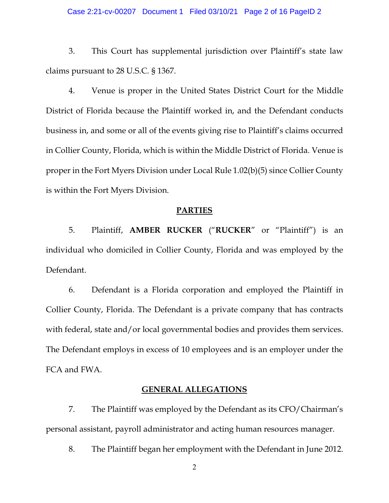#### Case 2:21-cv-00207 Document 1 Filed 03/10/21 Page 2 of 16 PageID 2

3. This Court has supplemental jurisdiction over Plaintiff's state law claims pursuant to 28 U.S.C. § 1367.

4. Venue is proper in the United States District Court for the Middle District of Florida because the Plaintiff worked in, and the Defendant conducts business in, and some or all of the events giving rise to Plaintiff's claims occurred in Collier County, Florida, which is within the Middle District of Florida. Venue is proper in the Fort Myers Division under Local Rule 1.02(b)(5) since Collier County is within the Fort Myers Division.

### **PARTIES**

5. Plaintiff, **AMBER RUCKER** ("**RUCKER**" or "Plaintiff") is an individual who domiciled in Collier County, Florida and was employed by the Defendant.

6. Defendant is a Florida corporation and employed the Plaintiff in Collier County, Florida. The Defendant is a private company that has contracts with federal, state and/or local governmental bodies and provides them services. The Defendant employs in excess of 10 employees and is an employer under the FCA and FWA.

### **GENERAL ALLEGATIONS**

7. The Plaintiff was employed by the Defendant as its CFO/Chairman's personal assistant, payroll administrator and acting human resources manager.

8. The Plaintiff began her employment with the Defendant in June 2012.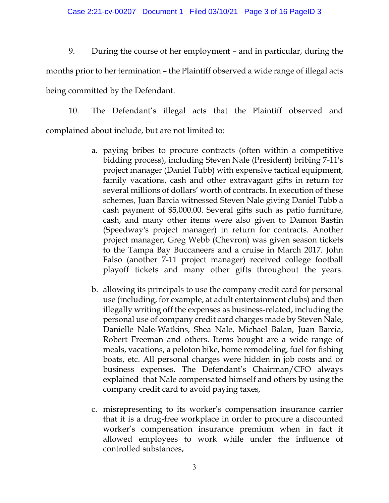### Case 2:21-cv-00207 Document 1 Filed 03/10/21 Page 3 of 16 PageID 3

9. During the course of her employment – and in particular, during the

months prior to her termination – the Plaintiff observed a wide range of illegal acts

being committed by the Defendant.

10. The Defendant's illegal acts that the Plaintiff observed and complained about include, but are not limited to:

- a. paying bribes to procure contracts (often within a competitive bidding process), including Steven Nale (President) bribing 7-11's project manager (Daniel Tubb) with expensive tactical equipment, family vacations, cash and other extravagant gifts in return for several millions of dollars' worth of contracts. In execution of these schemes, Juan Barcia witnessed Steven Nale giving Daniel Tubb a cash payment of \$5,000.00. Several gifts such as patio furniture, cash, and many other items were also given to Damon Bastin (Speedway's project manager) in return for contracts. Another project manager, Greg Webb (Chevron) was given season tickets to the Tampa Bay Buccaneers and a cruise in March 2017. John Falso (another 7-11 project manager) received college football playoff tickets and many other gifts throughout the years.
- b. allowing its principals to use the company credit card for personal use (including, for example, at adult entertainment clubs) and then illegally writing off the expenses as business-related, including the personal use of company credit card charges made by Steven Nale, Danielle Nale-Watkins, Shea Nale, Michael Balan, Juan Barcia, Robert Freeman and others. Items bought are a wide range of meals, vacations, a peloton bike, home remodeling, fuel for fishing boats, etc. All personal charges were hidden in job costs and or business expenses. The Defendant's Chairman/CFO always explained that Nale compensated himself and others by using the company credit card to avoid paying taxes,
- c. misrepresenting to its worker's compensation insurance carrier that it is a drug-free workplace in order to procure a discounted worker's compensation insurance premium when in fact it allowed employees to work while under the influence of controlled substances,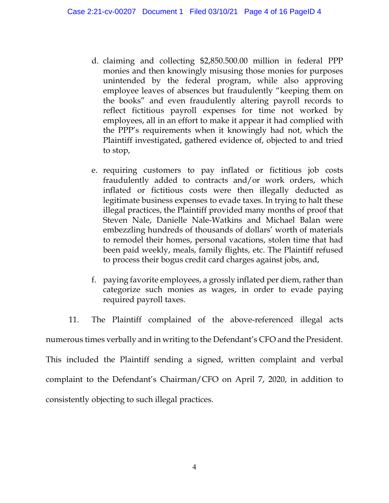- d. claiming and collecting \$2,850.500.00 million in federal PPP monies and then knowingly misusing those monies for purposes unintended by the federal program, while also approving employee leaves of absences but fraudulently "keeping them on the books" and even fraudulently altering payroll records to reflect fictitious payroll expenses for time not worked by employees, all in an effort to make it appear it had complied with the PPP's requirements when it knowingly had not, which the Plaintiff investigated, gathered evidence of, objected to and tried to stop,
- e. requiring customers to pay inflated or fictitious job costs fraudulently added to contracts and/or work orders, which inflated or fictitious costs were then illegally deducted as legitimate business expenses to evade taxes. In trying to halt these illegal practices, the Plaintiff provided many months of proof that Steven Nale, Danielle Nale-Watkins and Michael Balan were embezzling hundreds of thousands of dollars' worth of materials to remodel their homes, personal vacations, stolen time that had been paid weekly, meals, family flights, etc. The Plaintiff refused to process their bogus credit card charges against jobs, and,
- f. paying favorite employees, a grossly inflated per diem, rather than categorize such monies as wages, in order to evade paying required payroll taxes.
- 11. The Plaintiff complained of the above-referenced illegal acts numerous times verbally and in writing to the Defendant's CFO and the President. This included the Plaintiff sending a signed, written complaint and verbal complaint to the Defendant's Chairman/CFO on April 7, 2020, in addition to consistently objecting to such illegal practices.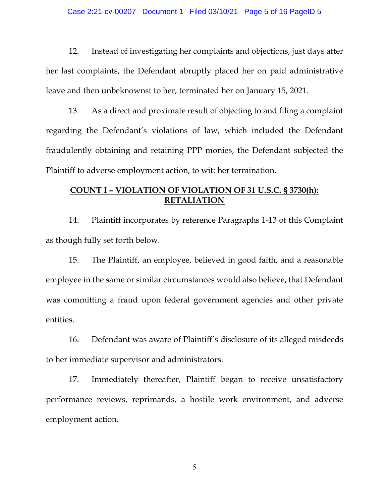#### Case 2:21-cv-00207 Document 1 Filed 03/10/21 Page 5 of 16 PageID 5

12. Instead of investigating her complaints and objections, just days after her last complaints, the Defendant abruptly placed her on paid administrative leave and then unbeknownst to her, terminated her on January 15, 2021.

13. As a direct and proximate result of objecting to and filing a complaint regarding the Defendant's violations of law, which included the Defendant fraudulently obtaining and retaining PPP monies, the Defendant subjected the Plaintiff to adverse employment action, to wit: her termination.

## **COUNT I – VIOLATION OF VIOLATION OF 31 U.S.C. § 3730(h): RETALIATION**

14. Plaintiff incorporates by reference Paragraphs 1-13 of this Complaint as though fully set forth below.

15. The Plaintiff, an employee, believed in good faith, and a reasonable employee in the same or similar circumstances would also believe, that Defendant was committing a fraud upon federal government agencies and other private entities.

16. Defendant was aware of Plaintiff's disclosure of its alleged misdeeds to her immediate supervisor and administrators.

17. Immediately thereafter, Plaintiff began to receive unsatisfactory performance reviews, reprimands, a hostile work environment, and adverse employment action.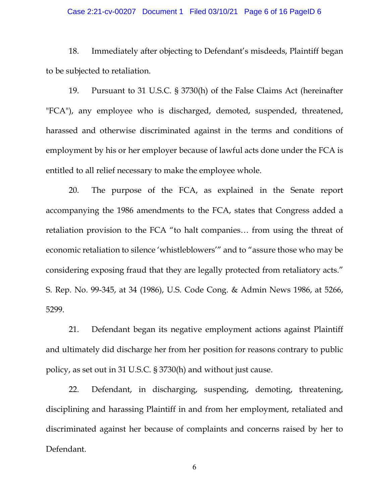#### Case 2:21-cv-00207 Document 1 Filed 03/10/21 Page 6 of 16 PageID 6

18. Immediately after objecting to Defendant's misdeeds, Plaintiff began to be subjected to retaliation.

19. Pursuant to 31 U.S.C. § 3730(h) of the False Claims Act (hereinafter "FCA"), any employee who is discharged, demoted, suspended, threatened, harassed and otherwise discriminated against in the terms and conditions of employment by his or her employer because of lawful acts done under the FCA is entitled to all relief necessary to make the employee whole.

20. The purpose of the FCA, as explained in the Senate report accompanying the 1986 amendments to the FCA, states that Congress added a retaliation provision to the FCA "to halt companies… from using the threat of economic retaliation to silence 'whistleblowers'" and to "assure those who may be considering exposing fraud that they are legally protected from retaliatory acts." S. Rep. No. 99-345, at 34 (1986), U.S. Code Cong. & Admin News 1986, at 5266, 5299.

21. Defendant began its negative employment actions against Plaintiff and ultimately did discharge her from her position for reasons contrary to public policy, as set out in 31 U.S.C. § 3730(h) and without just cause.

22. Defendant, in discharging, suspending, demoting, threatening, disciplining and harassing Plaintiff in and from her employment, retaliated and discriminated against her because of complaints and concerns raised by her to Defendant.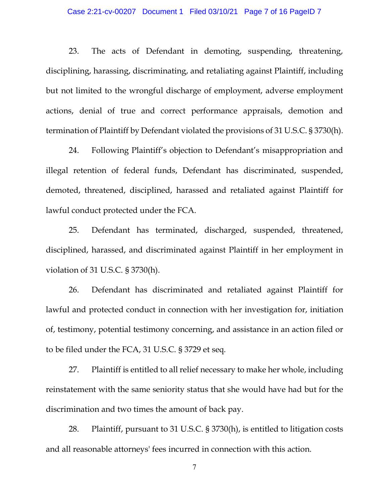#### Case 2:21-cv-00207 Document 1 Filed 03/10/21 Page 7 of 16 PageID 7

23. The acts of Defendant in demoting, suspending, threatening, disciplining, harassing, discriminating, and retaliating against Plaintiff, including but not limited to the wrongful discharge of employment, adverse employment actions, denial of true and correct performance appraisals, demotion and termination of Plaintiff by Defendant violated the provisions of 31 U.S.C. § 3730(h).

24. Following Plaintiff's objection to Defendant's misappropriation and illegal retention of federal funds, Defendant has discriminated, suspended, demoted, threatened, disciplined, harassed and retaliated against Plaintiff for lawful conduct protected under the FCA.

25. Defendant has terminated, discharged, suspended, threatened, disciplined, harassed, and discriminated against Plaintiff in her employment in violation of 31 U.S.C. § 3730(h).

26. Defendant has discriminated and retaliated against Plaintiff for lawful and protected conduct in connection with her investigation for, initiation of, testimony, potential testimony concerning, and assistance in an action filed or to be filed under the FCA, 31 U.S.C. § 3729 et seq.

27. Plaintiff is entitled to all relief necessary to make her whole, including reinstatement with the same seniority status that she would have had but for the discrimination and two times the amount of back pay.

28. Plaintiff, pursuant to 31 U.S.C. § 3730(h), is entitled to litigation costs and all reasonable attorneys' fees incurred in connection with this action.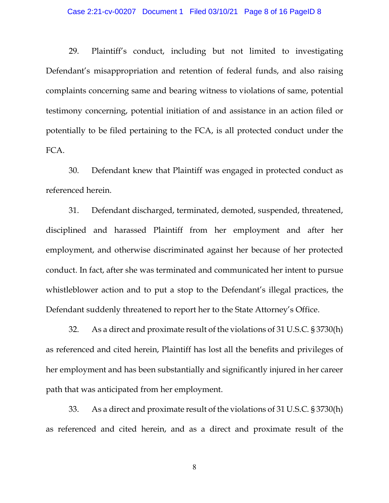#### Case 2:21-cv-00207 Document 1 Filed 03/10/21 Page 8 of 16 PageID 8

29. Plaintiff's conduct, including but not limited to investigating Defendant's misappropriation and retention of federal funds, and also raising complaints concerning same and bearing witness to violations of same, potential testimony concerning, potential initiation of and assistance in an action filed or potentially to be filed pertaining to the FCA, is all protected conduct under the FCA.

30. Defendant knew that Plaintiff was engaged in protected conduct as referenced herein.

31. Defendant discharged, terminated, demoted, suspended, threatened, disciplined and harassed Plaintiff from her employment and after her employment, and otherwise discriminated against her because of her protected conduct. In fact, after she was terminated and communicated her intent to pursue whistleblower action and to put a stop to the Defendant's illegal practices, the Defendant suddenly threatened to report her to the State Attorney's Office.

32. As a direct and proximate result of the violations of 31 U.S.C. § 3730(h) as referenced and cited herein, Plaintiff has lost all the benefits and privileges of her employment and has been substantially and significantly injured in her career path that was anticipated from her employment.

33. As a direct and proximate result of the violations of 31 U.S.C. § 3730(h) as referenced and cited herein, and as a direct and proximate result of the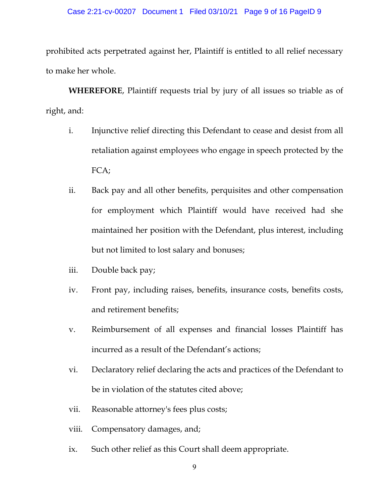#### Case 2:21-cv-00207 Document 1 Filed 03/10/21 Page 9 of 16 PageID 9

prohibited acts perpetrated against her, Plaintiff is entitled to all relief necessary to make her whole.

**WHEREFORE**, Plaintiff requests trial by jury of all issues so triable as of right, and:

- i. Injunctive relief directing this Defendant to cease and desist from all retaliation against employees who engage in speech protected by the FCA;
- ii. Back pay and all other benefits, perquisites and other compensation for employment which Plaintiff would have received had she maintained her position with the Defendant, plus interest, including but not limited to lost salary and bonuses;
- iii. Double back pay;
- iv. Front pay, including raises, benefits, insurance costs, benefits costs, and retirement benefits;
- v. Reimbursement of all expenses and financial losses Plaintiff has incurred as a result of the Defendant's actions;
- vi. Declaratory relief declaring the acts and practices of the Defendant to be in violation of the statutes cited above;
- vii. Reasonable attorney's fees plus costs;
- viii. Compensatory damages, and;
- ix. Such other relief as this Court shall deem appropriate.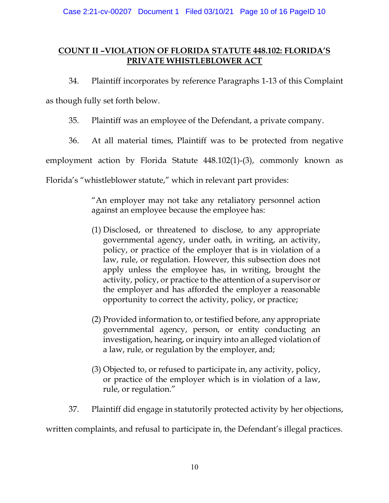# **COUNT II –VIOLATION OF FLORIDA STATUTE 448.102: FLORIDA'S PRIVATE WHISTLEBLOWER ACT**

34. Plaintiff incorporates by reference Paragraphs 1-13 of this Complaint

as though fully set forth below.

35. Plaintiff was an employee of the Defendant, a private company.

36. At all material times, Plaintiff was to be protected from negative

employment action by Florida Statute 448.102(1)-(3), commonly known as

Florida's "whistleblower statute," which in relevant part provides:

"An employer may not take any retaliatory personnel action against an employee because the employee has:

- (1) Disclosed, or threatened to disclose, to any appropriate governmental agency, under oath, in writing, an activity, policy, or practice of the employer that is in violation of a law, rule, or regulation. However, this subsection does not apply unless the employee has, in writing, brought the activity, policy, or practice to the attention of a supervisor or the employer and has afforded the employer a reasonable opportunity to correct the activity, policy, or practice;
- (2) Provided information to, or testified before, any appropriate governmental agency, person, or entity conducting an investigation, hearing, or inquiry into an alleged violation of a law, rule, or regulation by the employer, and;
- (3) Objected to, or refused to participate in, any activity, policy, or practice of the employer which is in violation of a law, rule, or regulation."
- 37. Plaintiff did engage in statutorily protected activity by her objections,

written complaints, and refusal to participate in, the Defendant's illegal practices.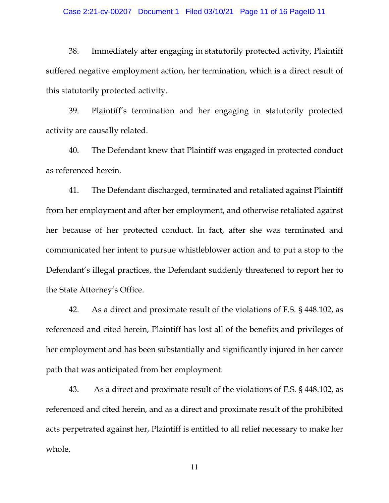#### Case 2:21-cv-00207 Document 1 Filed 03/10/21 Page 11 of 16 PageID 11

38. Immediately after engaging in statutorily protected activity, Plaintiff suffered negative employment action, her termination, which is a direct result of this statutorily protected activity.

39. Plaintiff's termination and her engaging in statutorily protected activity are causally related.

40. The Defendant knew that Plaintiff was engaged in protected conduct as referenced herein.

41. The Defendant discharged, terminated and retaliated against Plaintiff from her employment and after her employment, and otherwise retaliated against her because of her protected conduct. In fact, after she was terminated and communicated her intent to pursue whistleblower action and to put a stop to the Defendant's illegal practices, the Defendant suddenly threatened to report her to the State Attorney's Office.

42. As a direct and proximate result of the violations of F.S. § 448.102, as referenced and cited herein, Plaintiff has lost all of the benefits and privileges of her employment and has been substantially and significantly injured in her career path that was anticipated from her employment.

43. As a direct and proximate result of the violations of F.S. § 448.102, as referenced and cited herein, and as a direct and proximate result of the prohibited acts perpetrated against her, Plaintiff is entitled to all relief necessary to make her whole.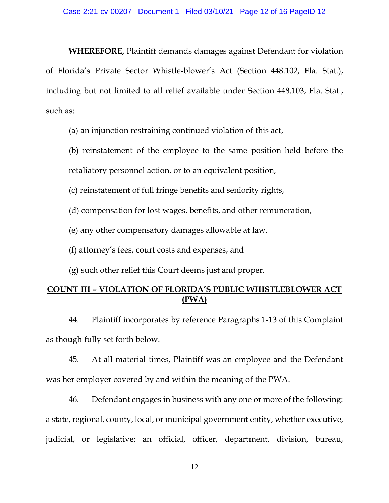**WHEREFORE,** Plaintiff demands damages against Defendant for violation of Florida's Private Sector Whistle-blower's Act (Section 448.102, Fla. Stat.), including but not limited to all relief available under Section 448.103, Fla. Stat., such as:

(a) an injunction restraining continued violation of this act,

(b) reinstatement of the employee to the same position held before the retaliatory personnel action, or to an equivalent position,

(c) reinstatement of full fringe benefits and seniority rights,

(d) compensation for lost wages, benefits, and other remuneration,

(e) any other compensatory damages allowable at law,

(f) attorney's fees, court costs and expenses, and

(g) such other relief this Court deems just and proper.

## **COUNT III – VIOLATION OF FLORIDA'S PUBLIC WHISTLEBLOWER ACT (PWA)**

44. Plaintiff incorporates by reference Paragraphs 1-13 of this Complaint as though fully set forth below.

45. At all material times, Plaintiff was an employee and the Defendant was her employer covered by and within the meaning of the PWA.

46. Defendant engages in business with any one or more of the following: a state, regional, county, local, or municipal government entity, whether executive, judicial, or legislative; an official, officer, department, division, bureau,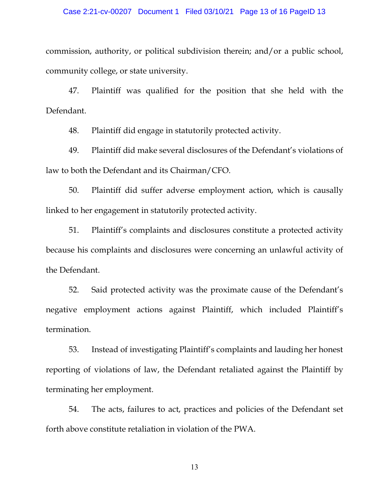#### Case 2:21-cv-00207 Document 1 Filed 03/10/21 Page 13 of 16 PageID 13

commission, authority, or political subdivision therein; and/or a public school, community college, or state university.

47. Plaintiff was qualified for the position that she held with the Defendant.

48. Plaintiff did engage in statutorily protected activity.

49. Plaintiff did make several disclosures of the Defendant's violations of law to both the Defendant and its Chairman/CFO.

50. Plaintiff did suffer adverse employment action, which is causally linked to her engagement in statutorily protected activity.

51. Plaintiff's complaints and disclosures constitute a protected activity because his complaints and disclosures were concerning an unlawful activity of the Defendant.

52. Said protected activity was the proximate cause of the Defendant's negative employment actions against Plaintiff, which included Plaintiff's termination.

53. Instead of investigating Plaintiff's complaints and lauding her honest reporting of violations of law, the Defendant retaliated against the Plaintiff by terminating her employment.

54. The acts, failures to act, practices and policies of the Defendant set forth above constitute retaliation in violation of the PWA.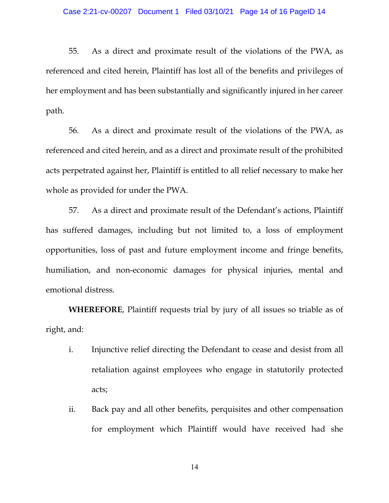55. As a direct and proximate result of the violations of the PWA, as referenced and cited herein, Plaintiff has lost all of the benefits and privileges of her employment and has been substantially and significantly injured in her career path.

56. As a direct and proximate result of the violations of the PWA, as referenced and cited herein, and as a direct and proximate result of the prohibited acts perpetrated against her, Plaintiff is entitled to all relief necessary to make her whole as provided for under the PWA.

57. As a direct and proximate result of the Defendant's actions, Plaintiff has suffered damages, including but not limited to, a loss of employment opportunities, loss of past and future employment income and fringe benefits, humiliation, and non-economic damages for physical injuries, mental and emotional distress.

**WHEREFORE**, Plaintiff requests trial by jury of all issues so triable as of right, and:

- i. Injunctive relief directing the Defendant to cease and desist from all retaliation against employees who engage in statutorily protected acts;
- ii. Back pay and all other benefits, perquisites and other compensation for employment which Plaintiff would have received had she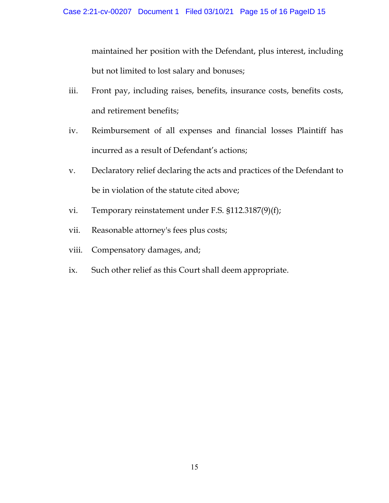maintained her position with the Defendant, plus interest, including but not limited to lost salary and bonuses;

- iii. Front pay, including raises, benefits, insurance costs, benefits costs, and retirement benefits;
- iv. Reimbursement of all expenses and financial losses Plaintiff has incurred as a result of Defendant's actions;
- v. Declaratory relief declaring the acts and practices of the Defendant to be in violation of the statute cited above;
- vi. Temporary reinstatement under F.S. §112.3187(9)(f);
- vii. Reasonable attorney's fees plus costs;
- viii. Compensatory damages, and;
- ix. Such other relief as this Court shall deem appropriate.